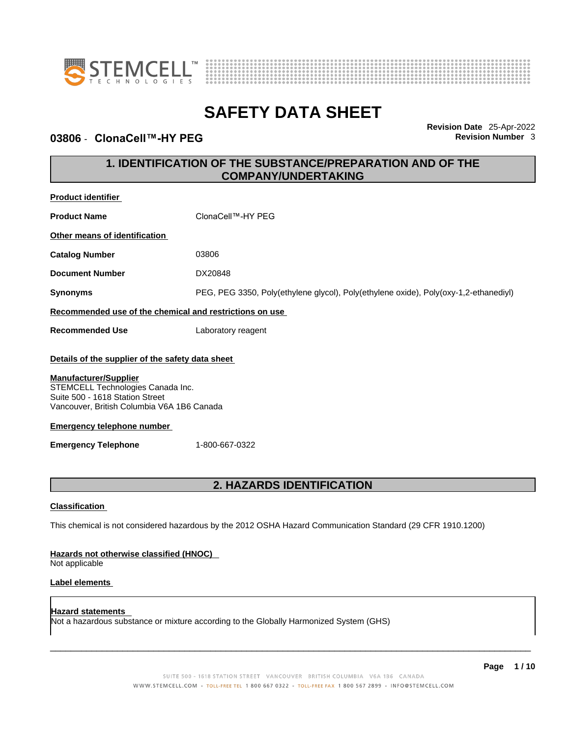



### **03806** - **ClonaCell™-HY PEG Revision Number** 3

**Revision Date** 25-Apr-2022

### **1. IDENTIFICATION OF THE SUBSTANCE/PREPARATION AND OF THE COMPANY/UNDERTAKING**

| <b>Product identifier</b>                                                                                                                          |                                                                                                             |  |
|----------------------------------------------------------------------------------------------------------------------------------------------------|-------------------------------------------------------------------------------------------------------------|--|
| <b>Product Name</b>                                                                                                                                | ClonaCell™-HY PEG                                                                                           |  |
| Other means of identification                                                                                                                      |                                                                                                             |  |
| <b>Catalog Number</b>                                                                                                                              | 03806                                                                                                       |  |
| <b>Document Number</b>                                                                                                                             | DX20848                                                                                                     |  |
| <b>Synonyms</b>                                                                                                                                    | PEG, PEG 3350, Poly(ethylene glycol), Poly(ethylene oxide), Poly(oxy-1,2-ethanediyl)                        |  |
| Recommended use of the chemical and restrictions on use                                                                                            |                                                                                                             |  |
| <b>Recommended Use</b>                                                                                                                             | Laboratory reagent                                                                                          |  |
| Details of the supplier of the safety data sheet                                                                                                   |                                                                                                             |  |
| <b>Manufacturer/Supplier</b><br>STEMCELL Technologies Canada Inc.<br>Suite 500 - 1618 Station Street<br>Vancouver, British Columbia V6A 1B6 Canada |                                                                                                             |  |
| <b>Emergency telephone number</b>                                                                                                                  |                                                                                                             |  |
| <b>Emergency Telephone</b>                                                                                                                         | 1-800-667-0322                                                                                              |  |
| <b>2. HAZARDS IDENTIFICATION</b>                                                                                                                   |                                                                                                             |  |
| <b>Classification</b>                                                                                                                              |                                                                                                             |  |
|                                                                                                                                                    | This chemical is not considered hazardous by the 2012 OSHA Hazard Communication Standard (29 CFR 1910.1200) |  |

### **Hazards not otherwise classified (HNOC)**

Not applicable

### **Label elements**

**Hazard statements**  Not a hazardous substance or mixture according to the Globally Harmonized System (GHS)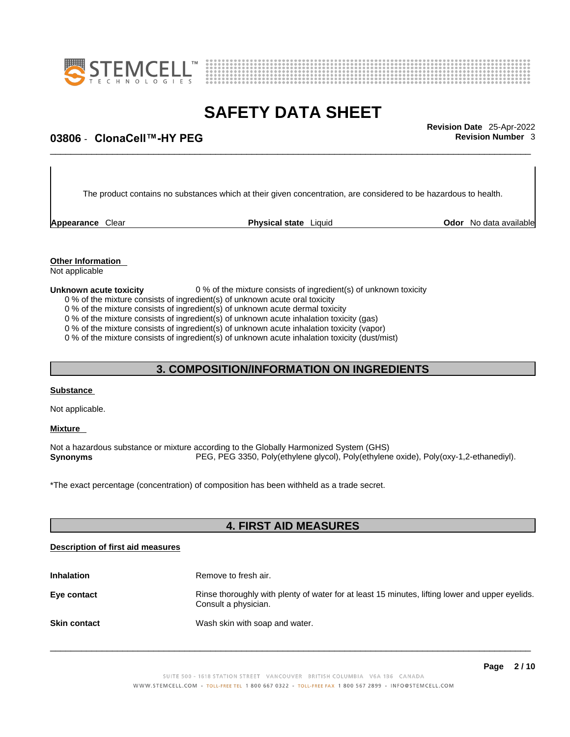



## \_\_\_\_\_\_\_\_\_\_\_\_\_\_\_\_\_\_\_\_\_\_\_\_\_\_\_\_\_\_\_\_\_\_\_\_\_\_\_\_\_\_\_\_\_\_\_\_\_\_\_\_\_\_\_\_\_\_\_\_\_\_\_\_\_\_\_\_\_\_\_\_\_\_\_\_\_\_\_\_\_\_\_\_\_\_\_\_\_\_\_\_\_ **Revision Date** 25-Apr-2022 **03806** - **ClonaCell™-HY PEG Revision Number** 3

The product contains no substances which at their given concentration, are considered to be hazardous to health.

**Appearance** Clear **Physical state** Liquid **Odor No data available Physical state** Liquid **Constantinent** 

**Other Information** 

Not applicable

### **Unknown acute toxicity** 0 % of the mixture consists of ingredient(s) of unknown toxicity

0 % of the mixture consists of ingredient(s) of unknown acute oral toxicity

0 % of the mixture consists of ingredient(s) of unknown acute dermal toxicity

0 % of the mixture consists of ingredient(s) of unknown acute inhalation toxicity (gas)

0 % of the mixture consists of ingredient(s) of unknown acute inhalation toxicity (vapor)

0 % of the mixture consists of ingredient(s) of unknown acute inhalation toxicity (dust/mist)

### **3. COMPOSITION/INFORMATION ON INGREDIENTS**

### **Substance**

Not applicable.

**Mixture** 

Not a hazardous substance or mixture according to the Globally Harmonized System (GHS) **Synonyms** PEG, PEG 3350, Poly(ethylene glycol), Poly(ethylene oxide), Poly(oxy-1,2-ethanediyl).

\*The exact percentage (concentration) of composition has been withheld as a trade secret.

### **4. FIRST AID MEASURES**

### **Description of first aid measures**

| <b>Inhalation</b>   | Remove to fresh air.                                                                                                    |
|---------------------|-------------------------------------------------------------------------------------------------------------------------|
| Eye contact         | Rinse thoroughly with plenty of water for at least 15 minutes, lifting lower and upper eyelids.<br>Consult a physician. |
| <b>Skin contact</b> | Wash skin with soap and water.                                                                                          |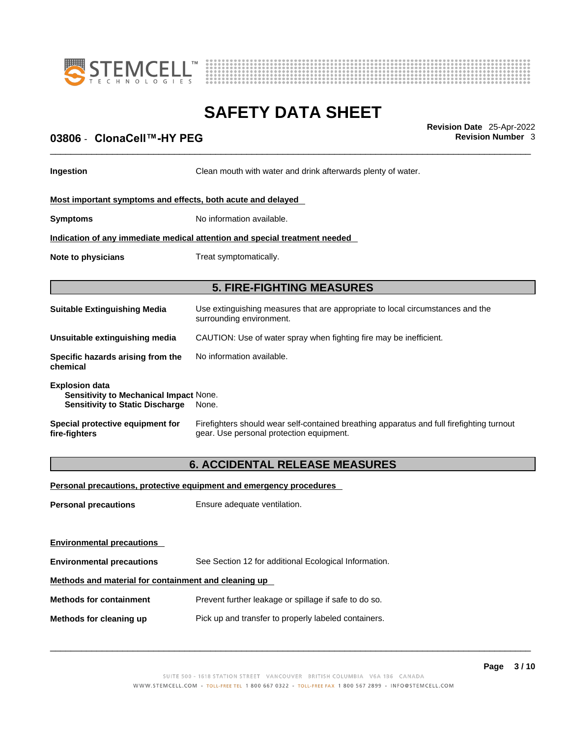



## \_\_\_\_\_\_\_\_\_\_\_\_\_\_\_\_\_\_\_\_\_\_\_\_\_\_\_\_\_\_\_\_\_\_\_\_\_\_\_\_\_\_\_\_\_\_\_\_\_\_\_\_\_\_\_\_\_\_\_\_\_\_\_\_\_\_\_\_\_\_\_\_\_\_\_\_\_\_\_\_\_\_\_\_\_\_\_\_\_\_\_\_\_ **Revision Date** 25-Apr-2022 **03806** - **ClonaCell™-HY PEG Revision Number** 3

**Ingestion Clean mouth with water and drink afterwards plenty of water.** 

### **Most important symptoms and effects, both acute and delayed**

**Symptoms** No information available.

**Indication of any immediate medical attention and special treatment needed**

**Note to physicians** Treat symptomatically.

### **5. FIRE-FIGHTING MEASURES**

| <b>Suitable Extinguishing Media</b>                                                                              | Use extinguishing measures that are appropriate to local circumstances and the<br>surrounding environment. |  |
|------------------------------------------------------------------------------------------------------------------|------------------------------------------------------------------------------------------------------------|--|
| Unsuitable extinguishing media                                                                                   | CAUTION: Use of water spray when fighting fire may be inefficient.                                         |  |
| Specific hazards arising from the<br>chemical                                                                    | No information available.                                                                                  |  |
| <b>Explosion data</b><br><b>Sensitivity to Mechanical Impact None.</b><br><b>Sensitivity to Static Discharge</b> | None.                                                                                                      |  |

**Special protective equipment for fire-fighters** Firefighters should wear self-contained breathing apparatus and full firefighting turnout gear. Use personal protection equipment.

### **6. ACCIDENTAL RELEASE MEASURES**

#### **Personal precautions, protective equipment and emergency procedures**

**Personal precautions** Ensure adequate ventilation.

**Environmental precautions** 

**Environmental precautions** See Section 12 for additional Ecological Information.

### **Methods and material for containment and cleaning up**

**Methods for containment** Prevent further leakage or spillage if safe to do so.

**Methods for cleaning up** Pick up and transfer to properly labeled containers.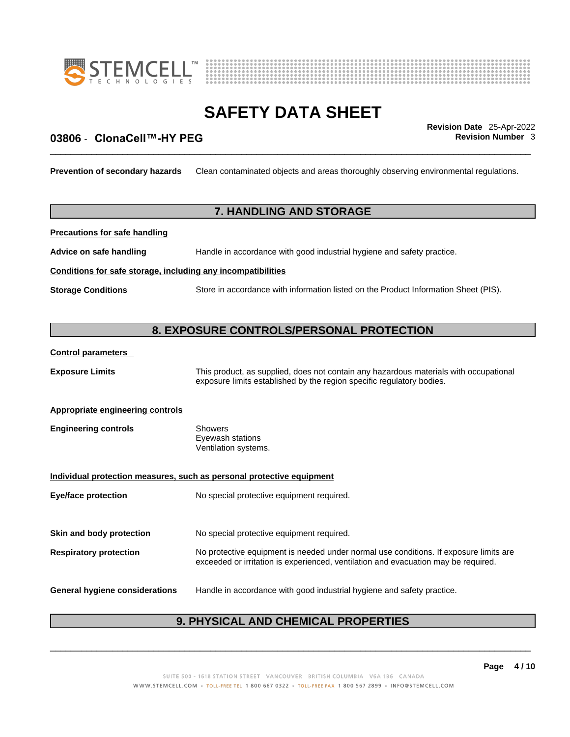



## \_\_\_\_\_\_\_\_\_\_\_\_\_\_\_\_\_\_\_\_\_\_\_\_\_\_\_\_\_\_\_\_\_\_\_\_\_\_\_\_\_\_\_\_\_\_\_\_\_\_\_\_\_\_\_\_\_\_\_\_\_\_\_\_\_\_\_\_\_\_\_\_\_\_\_\_\_\_\_\_\_\_\_\_\_\_\_\_\_\_\_\_\_ **Revision Date** 25-Apr-2022 **03806** - **ClonaCell™-HY PEG Revision Number** 3

**Prevention of secondary hazards** Clean contaminated objects and areas thoroughly observing environmental regulations.

### **7. HANDLING AND STORAGE**

**Precautions for safe handling**

**Advice on safe handling** Handle in accordance with good industrial hygiene and safety practice.

### **Conditions for safe storage, including any incompatibilities**

**Storage Conditions** Store in accordance with information listed on the Product Information Sheet (PIS).

### **8. EXPOSURE CONTROLS/PERSONAL PROTECTION**

### **Control parameters**

| <b>Exposure Limits</b>                                                | This product, as supplied, does not contain any hazardous materials with occupational<br>exposure limits established by the region specific regulatory bodies.              |  |
|-----------------------------------------------------------------------|-----------------------------------------------------------------------------------------------------------------------------------------------------------------------------|--|
| <b>Appropriate engineering controls</b>                               |                                                                                                                                                                             |  |
| <b>Engineering controls</b>                                           | <b>Showers</b><br>Eyewash stations<br>Ventilation systems.                                                                                                                  |  |
| Individual protection measures, such as personal protective equipment |                                                                                                                                                                             |  |
| Eye/face protection                                                   | No special protective equipment required.                                                                                                                                   |  |
| Skin and body protection                                              | No special protective equipment required.                                                                                                                                   |  |
| <b>Respiratory protection</b>                                         | No protective equipment is needed under normal use conditions. If exposure limits are<br>exceeded or irritation is experienced, ventilation and evacuation may be required. |  |
| General hygiene considerations                                        | Handle in accordance with good industrial hygiene and safety practice.                                                                                                      |  |

### **9. PHYSICAL AND CHEMICAL PROPERTIES**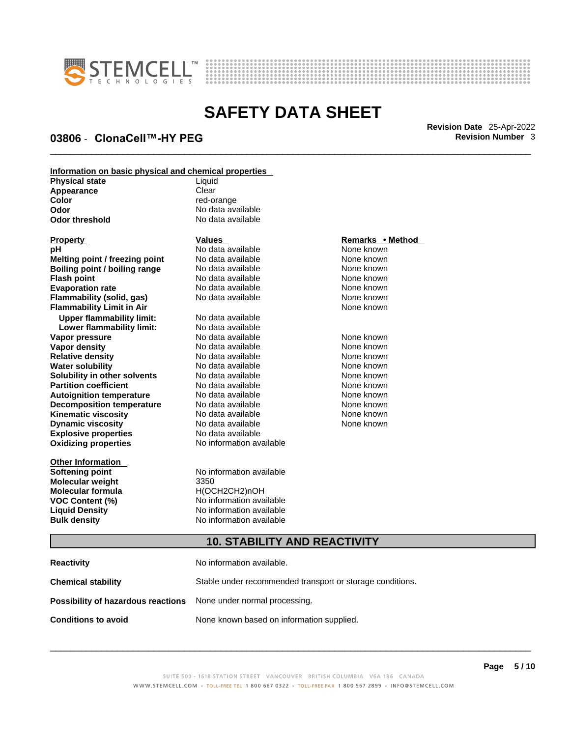



**03806** - **ClonaCell™-HY PEG Revision Number** 3

\_\_\_\_\_\_\_\_\_\_\_\_\_\_\_\_\_\_\_\_\_\_\_\_\_\_\_\_\_\_\_\_\_\_\_\_\_\_\_\_\_\_\_\_\_\_\_\_\_\_\_\_\_\_\_\_\_\_\_\_\_\_\_\_\_\_\_\_\_\_\_\_\_\_\_\_\_\_\_\_\_\_\_\_\_\_\_\_\_\_\_\_\_ **Revision Date** 25-Apr-2022

| Information on basic physical and chemical properties |                   |  |
|-------------------------------------------------------|-------------------|--|
| <b>Physical state</b>                                 | Liauid            |  |
| Appearance                                            | Clear             |  |
| Color                                                 | red-orange        |  |
| Odor                                                  | No data available |  |
| Odor threshold                                        | No data available |  |
|                                                       |                   |  |

| Property                             |
|--------------------------------------|
| рH                                   |
| Melting point / freezing point       |
| <b>Boiling point / boiling range</b> |
| <b>Flash point</b>                   |
| <b>Evaporation rate</b>              |
| <b>Flammability (solid, gas)</b>     |
| <b>Flammability Limit in Air</b>     |
| <b>Upper flammability limit:</b>     |
| Lower flammability limit:            |
| Vapor pressure                       |
| Vapor density                        |
| <b>Relative density</b>              |
| Water solubility                     |
| Solubility in other solvents         |
| <b>Partition coefficient</b>         |
| <b>Autoignition temperature</b>      |
| <b>Decomposition temperature</b>     |
| <b>Kinematic viscosity</b>           |
| <b>Dynamic viscosity</b>             |
| <b>Explosive properties</b>          |
| <b>Oxidizing properties</b>          |
|                                      |

**Other Information Molecular weight** 3350 **Molecular formula** H(OCH2CH2)nOH **Bulk density No information available** 

**PH ANO data available None known**<br> **PH ANO data available None known**<br>
None known **Moltinga Additional Book in the Solomon No data available None Known<br>
<b>Mone known**<br> **None known Roidata available <br><b>Aboiling** *Roid None known*<br>**Roid** *Roid Aboiling* **None known Flash Mone known**<br> **Flash Mone known**<br> **Flash Mone known**<br> **Flash Mone known Evaporation Revaluate Room None known**<br> **Evaporation** None known<br>
None known **No data available** 

**Explosive properties** No data available **Oxidizing properties** No information available **No data available Lower flammability limit:** No data available **No data available None known** No data available None known **Relatively No data available None known** No data available None known **Solut Alax Available included included** None known<br> **Solution** None known **No data available** No data available **None known No data available None known Kinematica** No data available **None known**<br>No data available None known **No data available** 

**Softening point** No information available **VOC Content (%)** No information available **Liquid Density** No information available

#### **Property Values Remarks • Method**

**None known** 

### **10. STABILITY AND REACTIVITY**

| Reactivity                                                              | No information available.                                 |
|-------------------------------------------------------------------------|-----------------------------------------------------------|
| Chemical stability                                                      | Stable under recommended transport or storage conditions. |
| <b>Possibility of hazardous reactions</b> None under normal processing. |                                                           |
| Conditions to avoid                                                     | None known based on information supplied.                 |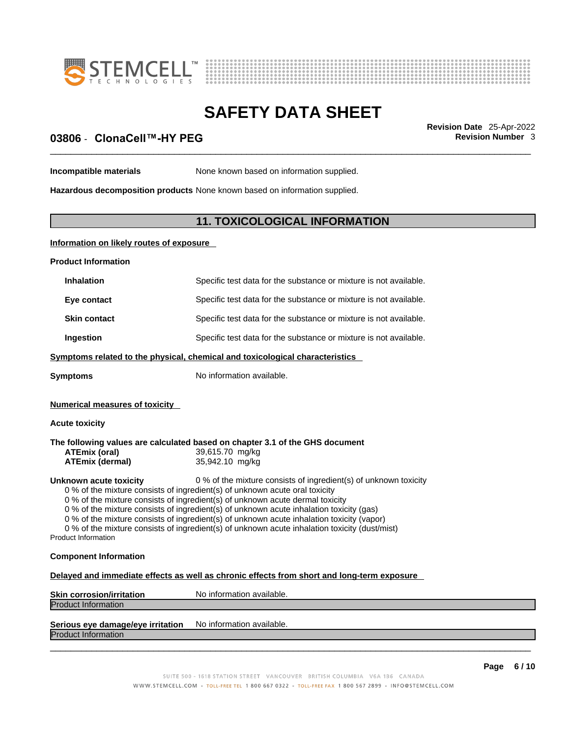



## \_\_\_\_\_\_\_\_\_\_\_\_\_\_\_\_\_\_\_\_\_\_\_\_\_\_\_\_\_\_\_\_\_\_\_\_\_\_\_\_\_\_\_\_\_\_\_\_\_\_\_\_\_\_\_\_\_\_\_\_\_\_\_\_\_\_\_\_\_\_\_\_\_\_\_\_\_\_\_\_\_\_\_\_\_\_\_\_\_\_\_\_\_ **Revision Date** 25-Apr-2022 **03806** - **ClonaCell™-HY PEG Revision Number** 3

**Incompatible materials** None known based on information supplied.

**Hazardous decomposition products** None known based on information supplied.

### **11. TOXICOLOGICAL INFORMATION**

### **Information on likely routes of exposure**

| <b>Product Information</b>                                                                                                                                                                                                                                                                                                                                                                                                                                                                                                                                                 |                                                                                                                    |  |
|----------------------------------------------------------------------------------------------------------------------------------------------------------------------------------------------------------------------------------------------------------------------------------------------------------------------------------------------------------------------------------------------------------------------------------------------------------------------------------------------------------------------------------------------------------------------------|--------------------------------------------------------------------------------------------------------------------|--|
| <b>Inhalation</b>                                                                                                                                                                                                                                                                                                                                                                                                                                                                                                                                                          | Specific test data for the substance or mixture is not available.                                                  |  |
| Eye contact                                                                                                                                                                                                                                                                                                                                                                                                                                                                                                                                                                | Specific test data for the substance or mixture is not available.                                                  |  |
| <b>Skin contact</b>                                                                                                                                                                                                                                                                                                                                                                                                                                                                                                                                                        | Specific test data for the substance or mixture is not available.                                                  |  |
| Ingestion                                                                                                                                                                                                                                                                                                                                                                                                                                                                                                                                                                  | Specific test data for the substance or mixture is not available.                                                  |  |
| Symptoms related to the physical, chemical and toxicological characteristics                                                                                                                                                                                                                                                                                                                                                                                                                                                                                               |                                                                                                                    |  |
| <b>Symptoms</b>                                                                                                                                                                                                                                                                                                                                                                                                                                                                                                                                                            | No information available.                                                                                          |  |
| <b>Numerical measures of toxicity</b>                                                                                                                                                                                                                                                                                                                                                                                                                                                                                                                                      |                                                                                                                    |  |
| <b>Acute toxicity</b>                                                                                                                                                                                                                                                                                                                                                                                                                                                                                                                                                      |                                                                                                                    |  |
| <b>ATEmix (oral)</b><br><b>ATEmix (dermal)</b>                                                                                                                                                                                                                                                                                                                                                                                                                                                                                                                             | The following values are calculated based on chapter 3.1 of the GHS document<br>39,615.70 mg/kg<br>35,942.10 mg/kg |  |
| 0 % of the mixture consists of ingredient(s) of unknown toxicity<br>Unknown acute toxicity<br>0 % of the mixture consists of ingredient(s) of unknown acute oral toxicity<br>0 % of the mixture consists of ingredient(s) of unknown acute dermal toxicity<br>0 % of the mixture consists of ingredient(s) of unknown acute inhalation toxicity (gas)<br>0 % of the mixture consists of ingredient(s) of unknown acute inhalation toxicity (vapor)<br>0 % of the mixture consists of ingredient(s) of unknown acute inhalation toxicity (dust/mist)<br>Product Information |                                                                                                                    |  |
| <b>Component Information</b>                                                                                                                                                                                                                                                                                                                                                                                                                                                                                                                                               |                                                                                                                    |  |
| Delayed and immediate effects as well as chronic effects from short and long-term exposure                                                                                                                                                                                                                                                                                                                                                                                                                                                                                 |                                                                                                                    |  |
| <b>Skin corrosion/irritation</b>                                                                                                                                                                                                                                                                                                                                                                                                                                                                                                                                           | No information available.                                                                                          |  |
| <b>Product Information</b>                                                                                                                                                                                                                                                                                                                                                                                                                                                                                                                                                 |                                                                                                                    |  |
| Serious eye damage/eye irritation                                                                                                                                                                                                                                                                                                                                                                                                                                                                                                                                          | No information available.                                                                                          |  |

Product Information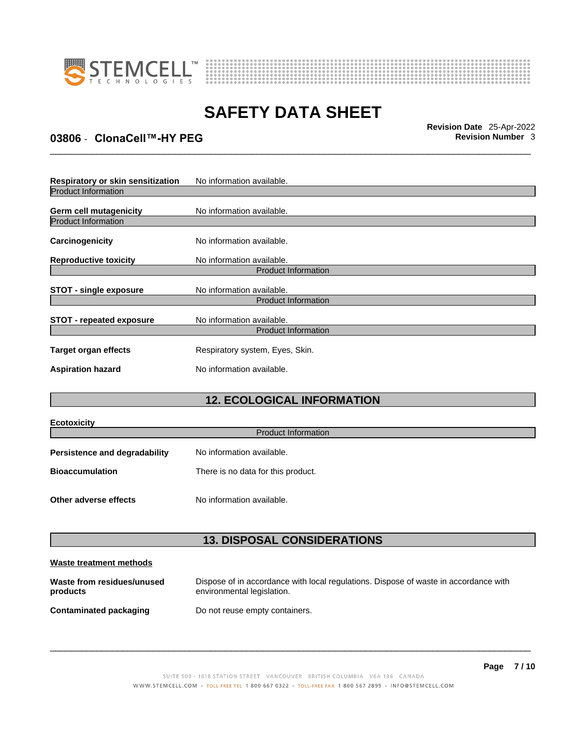



\_\_\_\_\_\_\_\_\_\_\_\_\_\_\_\_\_\_\_\_\_\_\_\_\_\_\_\_\_\_\_\_\_\_\_\_\_\_\_\_\_\_\_\_\_\_\_\_\_\_\_\_\_\_\_\_\_\_\_\_\_\_\_\_\_\_\_\_\_\_\_\_\_\_\_\_\_\_\_\_\_\_\_\_\_\_\_\_\_\_\_\_\_ **Revision Date** 25-Apr-2022

### **03806** - **ClonaCell™-HY PEG Revision Number** 3

| Respiratory or skin sensitization                    | No information available.                               |  |  |
|------------------------------------------------------|---------------------------------------------------------|--|--|
| <b>Product Information</b>                           |                                                         |  |  |
| Germ cell mutagenicity<br><b>Product Information</b> | No information available.                               |  |  |
| Carcinogenicity                                      | No information available.                               |  |  |
| <b>Reproductive toxicity</b>                         | No information available.                               |  |  |
| <b>Product Information</b>                           |                                                         |  |  |
| <b>STOT - single exposure</b>                        | No information available.                               |  |  |
|                                                      | <b>Product Information</b>                              |  |  |
| <b>STOT - repeated exposure</b>                      | No information available.<br><b>Product Information</b> |  |  |
|                                                      |                                                         |  |  |
| Target organ effects                                 | Respiratory system, Eyes, Skin.                         |  |  |
| <b>Aspiration hazard</b>                             | No information available.                               |  |  |

### **12. ECOLOGICAL INFORMATION**

| Ecotoxicity                   |                                    |  |
|-------------------------------|------------------------------------|--|
| <b>Product Information</b>    |                                    |  |
| Persistence and degradability | No information available.          |  |
| <b>Bioaccumulation</b>        | There is no data for this product. |  |
|                               |                                    |  |
| Other adverse effects         | No information available.          |  |

### **13. DISPOSAL CONSIDERATIONS**

### **Waste treatment methods**

| Waste from residues/unused | Dispose of in accordance with local regulations. Dispose of waste in accordance with |
|----------------------------|--------------------------------------------------------------------------------------|
| products                   | environmental legislation.                                                           |
|                            |                                                                                      |

**Contaminated packaging** Do not reuse empty containers.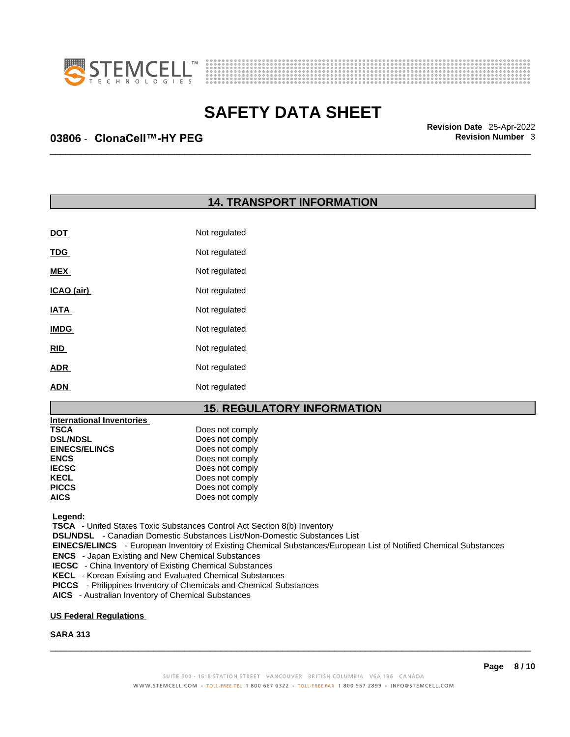



\_\_\_\_\_\_\_\_\_\_\_\_\_\_\_\_\_\_\_\_\_\_\_\_\_\_\_\_\_\_\_\_\_\_\_\_\_\_\_\_\_\_\_\_\_\_\_\_\_\_\_\_\_\_\_\_\_\_\_\_\_\_\_\_\_\_\_\_\_\_\_\_\_\_\_\_\_\_\_\_\_\_\_\_\_\_\_\_\_\_\_\_\_ **Revision Date** 25-Apr-2022

### **03806** - **ClonaCell™-HY PEG Revision Number** 3

### **14. TRANSPORT INFORMATION**

| <b>DOT</b>  | Not regulated |
|-------------|---------------|
| <u>TDG</u>  | Not regulated |
| <b>MEX</b>  | Not regulated |
| ICAO (air)  | Not regulated |
| <b>IATA</b> | Not regulated |
| <b>IMDG</b> | Not regulated |
| <b>RID</b>  | Not regulated |
| <b>ADR</b>  | Not regulated |
| <b>ADN</b>  | Not regulated |

### **15. REGULATORY INFORMATION**

| Does not comply |
|-----------------|
| Does not comply |
| Does not comply |
| Does not comply |
| Does not comply |
| Does not comply |
| Does not comply |
| Does not comply |
|                 |

 **Legend:** 

 **TSCA** - United States Toxic Substances Control Act Section 8(b) Inventory

 **DSL/NDSL** - Canadian Domestic Substances List/Non-Domestic Substances List

 **EINECS/ELINCS** - European Inventory of Existing Chemical Substances/European List of Notified Chemical Substances

 **ENCS** - Japan Existing and New Chemical Substances

 **IECSC** - China Inventory of Existing Chemical Substances

 **KECL** - Korean Existing and Evaluated Chemical Substances

 **PICCS** - Philippines Inventory of Chemicals and Chemical Substances

 **AICS** - Australian Inventory of Chemical Substances

### **US Federal Regulations**

### **SARA 313**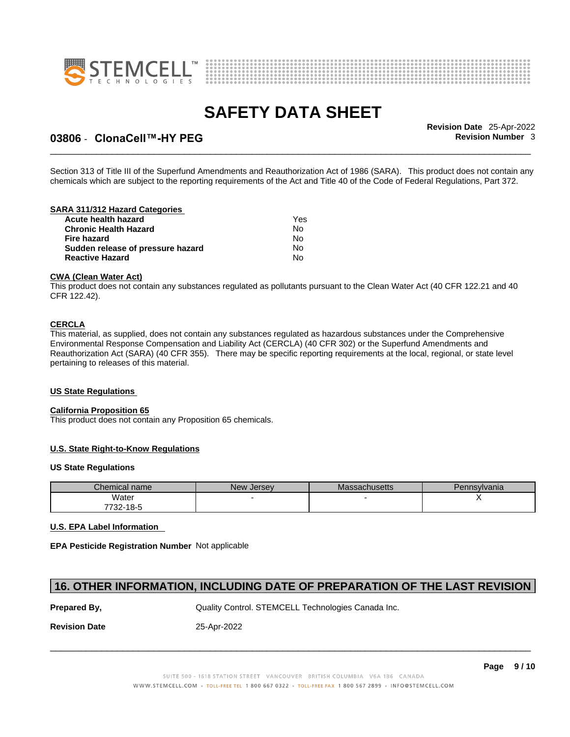



### **03806** - **ClonaCell™-HY PEG Revision Number** 3

\_\_\_\_\_\_\_\_\_\_\_\_\_\_\_\_\_\_\_\_\_\_\_\_\_\_\_\_\_\_\_\_\_\_\_\_\_\_\_\_\_\_\_\_\_\_\_\_\_\_\_\_\_\_\_\_\_\_\_\_\_\_\_\_\_\_\_\_\_\_\_\_\_\_\_\_\_\_\_\_\_\_\_\_\_\_\_\_\_\_\_\_\_ **Revision Date** 25-Apr-2022

Section 313 of Title III of the Superfund Amendments and Reauthorization Act of 1986 (SARA). This product does not contain any chemicals which are subject to the reporting requirements of the Act and Title 40 of the Code of Federal Regulations, Part 372.

### **SARA 311/312 Hazard Categories**

| Acute health hazard               | Yes |  |
|-----------------------------------|-----|--|
| Chronic Health Hazard             | No. |  |
| Fire hazard                       | No. |  |
| Sudden release of pressure hazard | N٥  |  |
| Reactive Hazard                   | No. |  |

#### **CWA** (Clean Water Act)

This product does not contain any substances regulated as pollutants pursuant to the Clean Water Act (40 CFR 122.21 and 40 CFR 122.42).

#### **CERCLA**

This material, as supplied, does not contain any substances regulated as hazardous substances under the Comprehensive Environmental Response Compensation and Liability Act (CERCLA) (40 CFR 302) or the Superfund Amendments and Reauthorization Act (SARA) (40 CFR 355). There may be specific reporting requirements at the local, regional, or state level pertaining to releases of this material.

#### **US State Regulations**

#### **California Proposition 65**

This product does not contain any Proposition 65 chemicals.

#### **U.S. State Right-to-Know Regulations**

#### **US State Regulations**

| Chemical name | New Jersey | <b>Massachusetts</b> | Pennsylvania |
|---------------|------------|----------------------|--------------|
| Water         |            |                      |              |
| 7732-18-5     |            |                      |              |

#### **U.S. EPA Label Information**

**EPA Pesticide Registration Number** Not applicable

### **16. OTHER INFORMATION, INCLUDING DATE OF PREPARATION OF THE LAST REVISION**

**Prepared By, State Control. STEMCELL Technologies Canada Inc.** Canada Inc.

**Revision Date** 25-Apr-2022